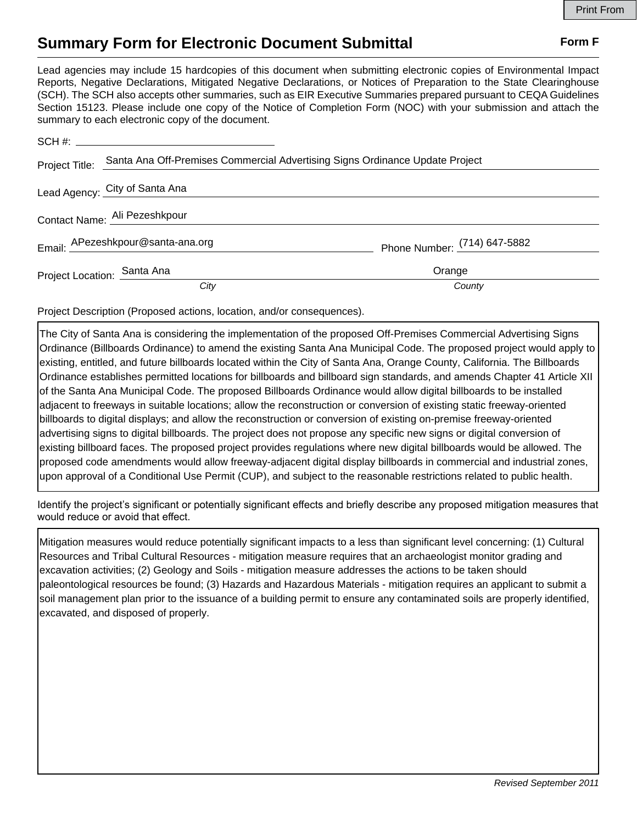## **Summary Form for Electronic Document Submittal Form F Form F**

Lead agencies may include 15 hardcopies of this document when submitting electronic copies of Environmental Impact Reports, Negative Declarations, Mitigated Negative Declarations, or Notices of Preparation to the State Clearinghouse (SCH). The SCH also accepts other summaries, such as EIR Executive Summaries prepared pursuant to CEQA Guidelines Section 15123. Please include one copy of the Notice of Completion Form (NOC) with your submission and attach the summary to each electronic copy of the document.

| Project Title:                | Santa Ana Off-Premises Commercial Advertising Signs Ordinance Update Project |                              |
|-------------------------------|------------------------------------------------------------------------------|------------------------------|
|                               | Lead Agency: City of Santa Ana                                               |                              |
| Contact Name: Ali Pezeshkpour |                                                                              |                              |
|                               | Email: APezeshkpour@santa-ana.org                                            | Phone Number: (714) 647-5882 |
| Project Location: Santa Ana   |                                                                              | Orange                       |
|                               | City                                                                         | County                       |

Project Description (Proposed actions, location, and/or consequences).

The City of Santa Ana is considering the implementation of the proposed Off-Premises Commercial Advertising Signs Ordinance (Billboards Ordinance) to amend the existing Santa Ana Municipal Code. The proposed project would apply to existing, entitled, and future billboards located within the City of Santa Ana, Orange County, California. The Billboards Ordinance establishes permitted locations for billboards and billboard sign standards, and amends Chapter 41 Article XII of the Santa Ana Municipal Code. The proposed Billboards Ordinance would allow digital billboards to be installed adjacent to freeways in suitable locations; allow the reconstruction or conversion of existing static freeway-oriented billboards to digital displays; and allow the reconstruction or conversion of existing on-premise freeway-oriented advertising signs to digital billboards. The project does not propose any specific new signs or digital conversion of existing billboard faces. The proposed project provides regulations where new digital billboards would be allowed. The proposed code amendments would allow freeway-adjacent digital display billboards in commercial and industrial zones, upon approval of a Conditional Use Permit (CUP), and subject to the reasonable restrictions related to public health.

Identify the project's significant or potentially significant effects and briefly describe any proposed mitigation measures that would reduce or avoid that effect.

Mitigation measures would reduce potentially significant impacts to a less than significant level concerning: (1) Cultural Resources and Tribal Cultural Resources - mitigation measure requires that an archaeologist monitor grading and excavation activities; (2) Geology and Soils - mitigation measure addresses the actions to be taken should paleontological resources be found; (3) Hazards and Hazardous Materials - mitigation requires an applicant to submit a soil management plan prior to the issuance of a building permit to ensure any contaminated soils are properly identified, excavated, and disposed of properly.